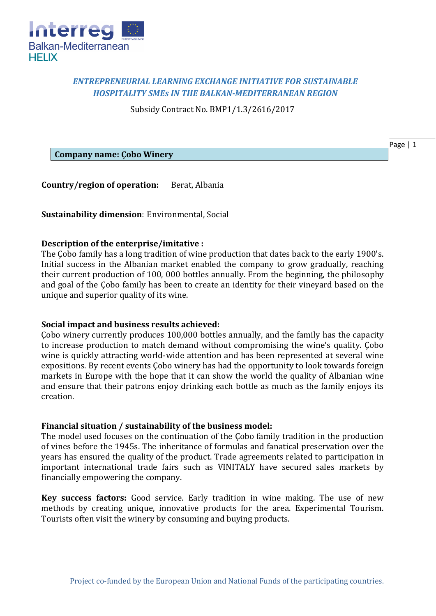

# *ENTREPRENEURIAL LEARNING EXCHANGE INITIATIVE FOR SUSTAINABLE HOSPITALITY SMEs IN THE BALKAN-MEDITERRANEAN REGION*

Subsidy Contract No. BMP1/1.3/2616/2017

Page | 1

**Company name: Çobo Winery**

**Country/region of operation:** Berat, Albania

**Sustainability dimension**: Environmental, Social

## **Description of the enterprise/imitative :**

The Çobo family has a long tradition of wine production that dates back to the early 1900's. Initial success in the Albanian market enabled the company to grow gradually, reaching their current production of 100, 000 bottles annually. From the beginning, the philosophy and goal of the Çobo family has been to create an identity for their vineyard based on the unique and superior quality of its wine.

### **Social impact and business results achieved:**

Çobo winery currently produces 100,000 bottles annually, and the family has the capacity to increase production to match demand without compromising the wine's quality. Çobo wine is quickly attracting world-wide attention and has been represented at several wine expositions. By recent events Çobo winery has had the opportunity to look towards foreign markets in Europe with the hope that it can show the world the quality of Albanian wine and ensure that their patrons enjoy drinking each bottle as much as the family enjoys its creation.

# **Financial situation / sustainability of the business model:**

The model used focuses on the continuation of the Çobo family tradition in the production of vines before the 1945s. The inheritance of formulas and fanatical preservation over the years has ensured the quality of the product. Trade agreements related to participation in important international trade fairs such as VINITALY have secured sales markets by financially empowering the company.

**Key success factors:** Good service. Early tradition in wine making. The use of new methods by creating unique, innovative products for the area. Experimental Tourism. Tourists often visit the winery by consuming and buying products.